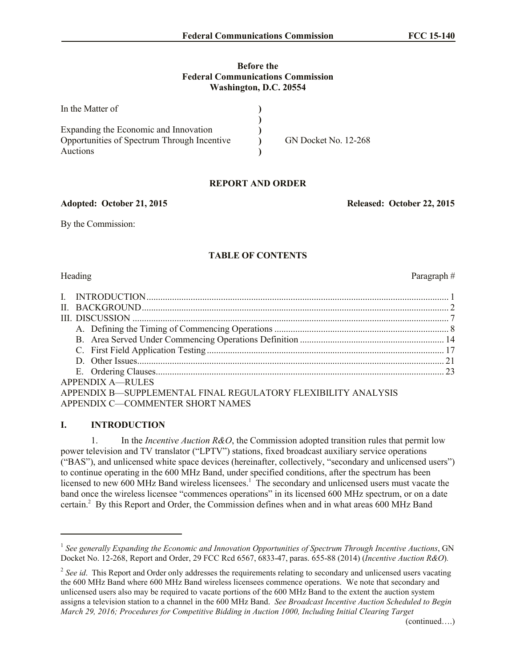### **Before the Federal Communications Commission Washington, D.C. 20554**

| In the Matter of                            |                             |
|---------------------------------------------|-----------------------------|
|                                             |                             |
| Expanding the Economic and Innovation       |                             |
| Opportunities of Spectrum Through Incentive | <b>GN Docket No. 12-268</b> |
| Auctions                                    |                             |

# **REPORT AND ORDER**

**Adopted: October 21, 2015 Released: October 22, 2015**

By the Commission:

# **TABLE OF CONTENTS**

l

Heading Paragraph  $#$ 

| APPENDIX A—RULES                                              |  |
|---------------------------------------------------------------|--|
| APPENDIX B—SUPPLEMENTAL FINAL REGULATORY FLEXIBILITY ANALYSIS |  |
| APPENDIX C-COMMENTER SHORT NAMES                              |  |

# **I. INTRODUCTION**

1. In the *Incentive Auction R&O*, the Commission adopted transition rules that permit low power television and TV translator ("LPTV") stations, fixed broadcast auxiliary service operations ("BAS"), and unlicensed white space devices (hereinafter, collectively, "secondary and unlicensed users") to continue operating in the 600 MHz Band, under specified conditions, after the spectrum has been licensed to new 600 MHz Band wireless licensees.<sup>1</sup> The secondary and unlicensed users must vacate the band once the wireless licensee "commences operations" in its licensed 600 MHz spectrum, or on a date certain.<sup>2</sup> By this Report and Order, the Commission defines when and in what areas 600 MHz Band

<sup>&</sup>lt;sup>1</sup> See generally Expanding the Economic and Innovation Opportunities of Spectrum Through Incentive Auctions, GN Docket No. 12-268, Report and Order, 29 FCC Rcd 6567, 6833-47, paras. 655-88 (2014) (*Incentive Auction R&O*)*.*

<sup>&</sup>lt;sup>2</sup> See id. This Report and Order only addresses the requirements relating to secondary and unlicensed users vacating the 600 MHz Band where 600 MHz Band wireless licensees commence operations. We note that secondary and unlicensed users also may be required to vacate portions of the 600 MHz Band to the extent the auction system assigns a television station to a channel in the 600 MHz Band. *See Broadcast Incentive Auction Scheduled to Begin March 29, 2016; Procedures for Competitive Bidding in Auction 1000, Including Initial Clearing Target*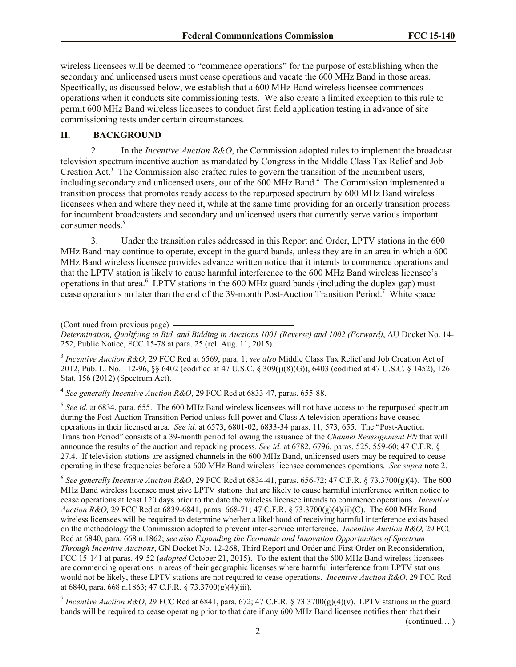wireless licensees will be deemed to "commence operations" for the purpose of establishing when the secondary and unlicensed users must cease operations and vacate the 600 MHz Band in those areas. Specifically, as discussed below, we establish that a 600 MHz Band wireless licensee commences operations when it conducts site commissioning tests. We also create a limited exception to this rule to permit 600 MHz Band wireless licensees to conduct first field application testing in advance of site commissioning tests under certain circumstances.

#### **II. BACKGROUND**

2. In the *Incentive Auction R&O*, the Commission adopted rules to implement the broadcast television spectrum incentive auction as mandated by Congress in the Middle Class Tax Relief and Job Creation Act.<sup>3</sup> The Commission also crafted rules to govern the transition of the incumbent users, including secondary and unlicensed users, out of the 600 MHz Band.<sup>4</sup> The Commission implemented a transition process that promotes ready access to the repurposed spectrum by 600 MHz Band wireless licensees when and where they need it, while at the same time providing for an orderly transition process for incumbent broadcasters and secondary and unlicensed users that currently serve various important consumer needs.<sup>5</sup>

3. Under the transition rules addressed in this Report and Order, LPTV stations in the 600 MHz Band may continue to operate, except in the guard bands, unless they are in an area in which a 600 MHz Band wireless licensee provides advance written notice that it intends to commence operations and that the LPTV station is likely to cause harmful interference to the 600 MHz Band wireless licensee's operations in that area. $6$  LPTV stations in the 600 MHz guard bands (including the duplex gap) must cease operations no later than the end of the 39-month Post-Auction Transition Period.<sup>7</sup> White space

(Continued from previous page)

*Determination, Qualifying to Bid, and Bidding in Auctions 1001 (Reverse) and 1002 (Forward)*, AU Docket No. 14- 252, Public Notice, FCC 15-78 at para. 25 (rel. Aug. 11, 2015).

3 *Incentive Auction R&O*, 29 FCC Rcd at 6569, para. 1; *see also* Middle Class Tax Relief and Job Creation Act of 2012, Pub. L. No. 112-96, §§ 6402 (codified at 47 U.S.C. § 309(j)(8)(G)), 6403 (codified at 47 U.S.C. § 1452), 126 Stat. 156 (2012) (Spectrum Act).

4 *See generally Incentive Auction R&O*, 29 FCC Rcd at 6833-47, paras. 655-88.

 $<sup>5</sup>$  See id. at 6834, para. 655. The 600 MHz Band wireless licensees will not have access to the repurposed spectrum</sup> during the Post-Auction Transition Period unless full power and Class A television operations have ceased operations in their licensed area*. See id.* at 6573, 6801-02, 6833-34 paras. 11, 573, 655. The "Post-Auction Transition Period" consists of a 39-month period following the issuance of the *Channel Reassignment PN* that will announce the results of the auction and repacking process. *See id.* at 6782, 6796, paras. 525, 559-60; 47 C.F.R. § 27.4. If television stations are assigned channels in the 600 MHz Band, unlicensed users may be required to cease operating in these frequencies before a 600 MHz Band wireless licensee commences operations. *See supra* note 2.

6 *See generally Incentive Auction R&O*, 29 FCC Rcd at 6834-41, paras. 656-72; 47 C.F.R. § 73.3700(g)(4). The 600 MHz Band wireless licensee must give LPTV stations that are likely to cause harmful interference written notice to cease operations at least 120 days prior to the date the wireless licensee intends to commence operations. *Incentive Auction R&O,* 29 FCC Rcd at 6839-6841, paras. 668-71; 47 C.F.R. § 73.3700(g)(4)(ii)(C). The 600 MHz Band wireless licensees will be required to determine whether a likelihood of receiving harmful interference exists based on the methodology the Commission adopted to prevent inter-service interference. *Incentive Auction R&O,* 29 FCC Rcd at 6840, para. 668 n.1862; *see also Expanding the Economic and Innovation Opportunities of Spectrum Through Incentive Auctions*, GN Docket No. 12-268, Third Report and Order and First Order on Reconsideration, FCC 15-141 at paras. 49-52 (*adopted* October 21, 2015). To the extent that the 600 MHz Band wireless licensees are commencing operations in areas of their geographic licenses where harmful interference from LPTV stations would not be likely, these LPTV stations are not required to cease operations. *Incentive Auction R&O*, 29 FCC Rcd at 6840, para. 668 n.1863; 47 C.F.R. § 73.3700(g)(4)(iii).

*I* Incentive Auction R&O, 29 FCC Rcd at 6841, para. 672; 47 C.F.R. § 73.3700(g)(4)(v). LPTV stations in the guard bands will be required to cease operating prior to that date if any 600 MHz Band licensee notifies them that their

(continued….)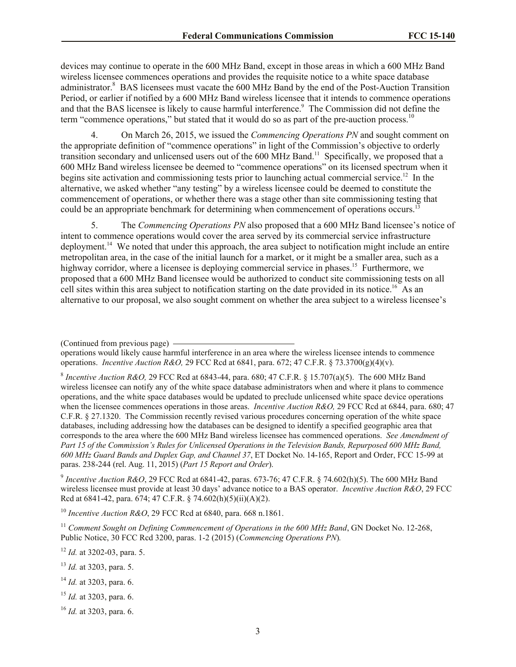devices may continue to operate in the 600 MHz Band, except in those areas in which a 600 MHz Band wireless licensee commences operations and provides the requisite notice to a white space database administrator.<sup>8</sup> BAS licensees must vacate the 600 MHz Band by the end of the Post-Auction Transition Period, or earlier if notified by a 600 MHz Band wireless licensee that it intends to commence operations and that the BAS licensee is likely to cause harmful interference.<sup>9</sup> The Commission did not define the term "commence operations," but stated that it would do so as part of the pre-auction process.<sup>10</sup>

4. On March 26, 2015, we issued the *Commencing Operations PN* and sought comment on the appropriate definition of "commence operations" in light of the Commission's objective to orderly transition secondary and unlicensed users out of the 600 MHz Band.<sup>11</sup> Specifically, we proposed that a 600 MHz Band wireless licensee be deemed to "commence operations" on its licensed spectrum when it begins site activation and commissioning tests prior to launching actual commercial service.<sup>12</sup> In the alternative, we asked whether "any testing" by a wireless licensee could be deemed to constitute the commencement of operations, or whether there was a stage other than site commissioning testing that could be an appropriate benchmark for determining when commencement of operations occurs.<sup>1</sup>

5. The *Commencing Operations PN* also proposed that a 600 MHz Band licensee's notice of intent to commence operations would cover the area served by its commercial service infrastructure deployment.<sup>14</sup> We noted that under this approach, the area subject to notification might include an entire metropolitan area, in the case of the initial launch for a market, or it might be a smaller area, such as a highway corridor, where a licensee is deploying commercial service in phases.<sup>15</sup> Furthermore, we proposed that a 600 MHz Band licensee would be authorized to conduct site commissioning tests on all cell sites within this area subject to notification starting on the date provided in its notice.<sup>16</sup> As an alternative to our proposal, we also sought comment on whether the area subject to a wireless licensee's

<sup>9</sup> Incentive Auction R&O, 29 FCC Rcd at 6841-42, paras. 673-76; 47 C.F.R. § 74.602(h)(5). The 600 MHz Band wireless licensee must provide at least 30 days' advance notice to a BAS operator. *Incentive Auction R&O*, 29 FCC Rcd at 6841-42, para. 674; 47 C.F.R. § 74.602(h)(5)(ii)(A)(2).

<sup>10</sup> *Incentive Auction R&O*, 29 FCC Rcd at 6840, para. 668 n.1861.

<sup>11</sup> *Comment Sought on Defining Commencement of Operations in the 600 MHz Band, GN Docket No. 12-268,* Public Notice, 30 FCC Rcd 3200, paras. 1-2 (2015) (*Commencing Operations PN*)*.*

<sup>12</sup> *Id.* at 3202-03, para. 5.

- <sup>13</sup> *Id.* at 3203, para. 5.
- <sup>14</sup> *Id.* at 3203, para. 6.
- <sup>15</sup> *Id.* at 3203, para. 6.
- <sup>16</sup> *Id.* at 3203, para. 6.

<sup>(</sup>Continued from previous page)

operations would likely cause harmful interference in an area where the wireless licensee intends to commence operations. *Incentive Auction R&O,* 29 FCC Rcd at 6841, para. 672; 47 C.F.R. § 73.3700(g)(4)(v).

<sup>&</sup>lt;sup>8</sup> Incentive Auction R&O, 29 FCC Rcd at 6843-44, para. 680; 47 C.F.R. § 15.707(a)(5). The 600 MHz Band wireless licensee can notify any of the white space database administrators when and where it plans to commence operations, and the white space databases would be updated to preclude unlicensed white space device operations when the licensee commences operations in those areas. *Incentive Auction R&O,* 29 FCC Rcd at 6844, para. 680; 47 C.F.R. § 27.1320. The Commission recently revised various procedures concerning operation of the white space databases, including addressing how the databases can be designed to identify a specified geographic area that corresponds to the area where the 600 MHz Band wireless licensee has commenced operations. *See Amendment of Part 15 of the Commission's Rules for Unlicensed Operations in the Television Bands, Repurposed 600 MHz Band, 600 MHz Guard Bands and Duplex Gap, and Channel 37*, ET Docket No. 14-165, Report and Order, FCC 15-99 at paras. 238-244 (rel. Aug. 11, 2015) (*Part 15 Report and Order*).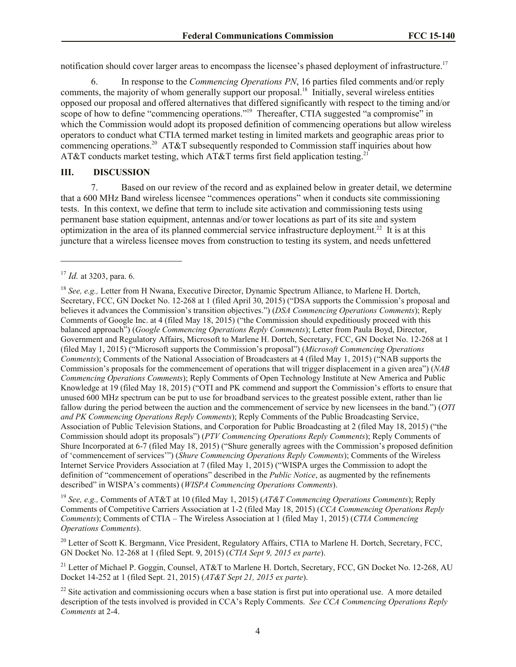notification should cover larger areas to encompass the licensee's phased deployment of infrastructure.<sup>17</sup>

6. In response to the *Commencing Operations PN*, 16 parties filed comments and/or reply comments, the majority of whom generally support our proposal.<sup>18</sup> Initially, several wireless entities opposed our proposal and offered alternatives that differed significantly with respect to the timing and/or scope of how to define "commencing operations."<sup>19</sup> Thereafter, CTIA suggested "a compromise" in which the Commission would adopt its proposed definition of commencing operations but allow wireless operators to conduct what CTIA termed market testing in limited markets and geographic areas prior to commencing operations.<sup>20</sup> AT&T subsequently responded to Commission staff inquiries about how AT&T conducts market testing, which AT&T terms first field application testing.<sup>21</sup>

#### **III. DISCUSSION**

7. Based on our review of the record and as explained below in greater detail, we determine that a 600 MHz Band wireless licensee "commences operations" when it conducts site commissioning tests. In this context, we define that term to include site activation and commissioning tests using permanent base station equipment, antennas and/or tower locations as part of its site and system optimization in the area of its planned commercial service infrastructure deployment.<sup>22</sup> It is at this juncture that a wireless licensee moves from construction to testing its system, and needs unfettered

 $\overline{\phantom{a}}$ 

<sup>19</sup> *See, e.g.,* Comments of AT&T at 10 (filed May 1, 2015) (*AT&T Commencing Operations Comments*); Reply Comments of Competitive Carriers Association at 1-2 (filed May 18, 2015) (*CCA Commencing Operations Reply Comments*); Comments of CTIA – The Wireless Association at 1 (filed May 1, 2015) (*CTIA Commencing Operations Comments*).

<sup>20</sup> Letter of Scott K. Bergmann, Vice President, Regulatory Affairs, CTIA to Marlene H. Dortch, Secretary, FCC, GN Docket No. 12-268 at 1 (filed Sept. 9, 2015) (*CTIA Sept 9, 2015 ex parte*).

<sup>21</sup> Letter of Michael P. Goggin, Counsel, AT&T to Marlene H. Dortch, Secretary, FCC, GN Docket No. 12-268, AU Docket 14-252 at 1 (filed Sept. 21, 2015) (*AT&T Sept 21, 2015 ex parte*).

<sup>17</sup> *Id.* at 3203, para. 6.

<sup>18</sup> *See, e.g.,* Letter from H Nwana, Executive Director, Dynamic Spectrum Alliance, to Marlene H. Dortch, Secretary, FCC, GN Docket No. 12-268 at 1 (filed April 30, 2015) ("DSA supports the Commission's proposal and believes it advances the Commission's transition objectives.") (*DSA Commencing Operations Comments*); Reply Comments of Google Inc. at 4 (filed May 18, 2015) ("the Commission should expeditiously proceed with this balanced approach") (*Google Commencing Operations Reply Comments*); Letter from Paula Boyd, Director, Government and Regulatory Affairs, Microsoft to Marlene H. Dortch, Secretary, FCC, GN Docket No. 12-268 at 1 (filed May 1, 2015) ("Microsoft supports the Commission's proposal") (*Microsoft Commencing Operations Comments*); Comments of the National Association of Broadcasters at 4 (filed May 1, 2015) ("NAB supports the Commission's proposals for the commencement of operations that will trigger displacement in a given area") (*NAB Commencing Operations Comments*); Reply Comments of Open Technology Institute at New America and Public Knowledge at 19 (filed May 18, 2015) ("OTI and PK commend and support the Commission's efforts to ensure that unused 600 MHz spectrum can be put to use for broadband services to the greatest possible extent, rather than lie fallow during the period between the auction and the commencement of service by new licensees in the band.") (*OTI and PK Commencing Operations Reply Comments*); Reply Comments of the Public Broadcasting Service, Association of Public Television Stations, and Corporation for Public Broadcasting at 2 (filed May 18, 2015) ("the Commission should adopt its proposals") (*PTV Commencing Operations Reply Comments*); Reply Comments of Shure Incorporated at 6-7 (filed May 18, 2015) ("Shure generally agrees with the Commission's proposed definition of 'commencement of services'") (*Shure Commencing Operations Reply Comments*); Comments of the Wireless Internet Service Providers Association at 7 (filed May 1, 2015) ("WISPA urges the Commission to adopt the definition of "commencement of operations" described in the *Public Notice*, as augmented by the refinements described" in WISPA's comments) (*WISPA Commencing Operations Comments*).

 $22$  Site activation and commissioning occurs when a base station is first put into operational use. A more detailed description of the tests involved is provided in CCA's Reply Comments. *See CCA Commencing Operations Reply Comments* at 2-4.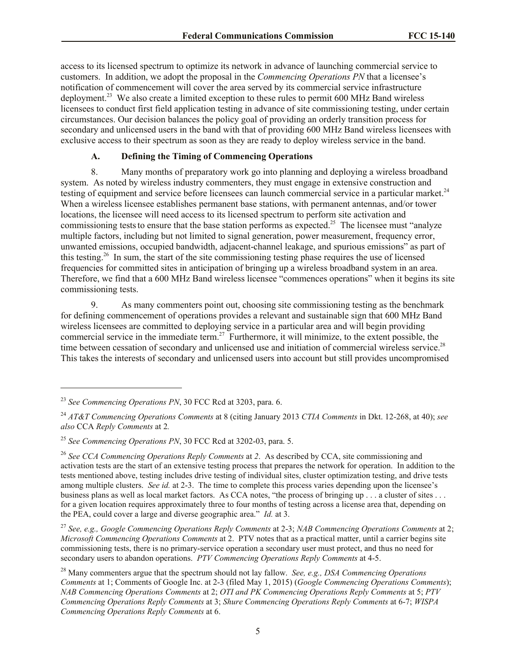access to its licensed spectrum to optimize its network in advance of launching commercial service to customers. In addition, we adopt the proposal in the *Commencing Operations PN* that a licensee's notification of commencement will cover the area served by its commercial service infrastructure deployment.<sup>23</sup> We also create a limited exception to these rules to permit 600 MHz Band wireless licensees to conduct first field application testing in advance of site commissioning testing, under certain circumstances. Our decision balances the policy goal of providing an orderly transition process for secondary and unlicensed users in the band with that of providing 600 MHz Band wireless licensees with exclusive access to their spectrum as soon as they are ready to deploy wireless service in the band.

### **A. Defining the Timing of Commencing Operations**

8. Many months of preparatory work go into planning and deploying a wireless broadband system. As noted by wireless industry commenters, they must engage in extensive construction and testing of equipment and service before licensees can launch commercial service in a particular market.<sup>24</sup> When a wireless licensee establishes permanent base stations, with permanent antennas, and/or tower locations, the licensee will need access to its licensed spectrum to perform site activation and commissioning tests to ensure that the base station performs as expected.<sup>25</sup> The licensee must "analyze" multiple factors, including but not limited to signal generation, power measurement, frequency error, unwanted emissions, occupied bandwidth, adjacent-channel leakage, and spurious emissions" as part of this testing.<sup>26</sup> In sum, the start of the site commissioning testing phase requires the use of licensed frequencies for committed sites in anticipation of bringing up a wireless broadband system in an area. Therefore, we find that a 600 MHz Band wireless licensee "commences operations" when it begins its site commissioning tests.

9. As many commenters point out, choosing site commissioning testing as the benchmark for defining commencement of operations provides a relevant and sustainable sign that 600 MHz Band wireless licensees are committed to deploying service in a particular area and will begin providing commercial service in the immediate term.<sup>27</sup> Furthermore, it will minimize, to the extent possible, the time between cessation of secondary and unlicensed use and initiation of commercial wireless service.<sup>28</sup> This takes the interests of secondary and unlicensed users into account but still provides uncompromised

l

<sup>23</sup> *See Commencing Operations PN*, 30 FCC Rcd at 3203, para. 6.

<sup>24</sup> *AT&T Commencing Operations Comments* at 8 (citing January 2013 *CTIA Comments* in Dkt. 12-268, at 40); *see also* CCA *Reply Comments* at 2*.*

<sup>25</sup> *See Commencing Operations PN*, 30 FCC Rcd at 3202-03, para. 5.

<sup>26</sup> *See CCA Commencing Operations Reply Comments* at *2*. As described by CCA, site commissioning and activation tests are the start of an extensive testing process that prepares the network for operation. In addition to the tests mentioned above, testing includes drive testing of individual sites, cluster optimization testing, and drive tests among multiple clusters. *See id.* at 2-3. The time to complete this process varies depending upon the licensee's business plans as well as local market factors. As CCA notes, "the process of bringing up . . . a cluster of sites . . . for a given location requires approximately three to four months of testing across a license area that, depending on the PEA, could cover a large and diverse geographic area." *Id.* at 3.

<sup>27</sup> *See, e.g., Google Commencing Operations Reply Comments* at 2-3; *NAB Commencing Operations Comments* at 2; *Microsoft Commencing Operations Comments* at 2. PTV notes that as a practical matter, until a carrier begins site commissioning tests, there is no primary-service operation a secondary user must protect, and thus no need for secondary users to abandon operations. *PTV Commencing Operations Reply Comments* at 4-5.

<sup>28</sup> Many commenters argue that the spectrum should not lay fallow. *See, e.g., DSA Commencing Operations Comments* at 1; Comments of Google Inc. at 2-3 (filed May 1, 2015) (*Google Commencing Operations Comments*); *NAB Commencing Operations Comments* at 2; *OTI and PK Commencing Operations Reply Comments* at 5; *PTV Commencing Operations Reply Comments* at 3; *Shure Commencing Operations Reply Comments* at 6-7; *WISPA Commencing Operations Reply Comments* at 6.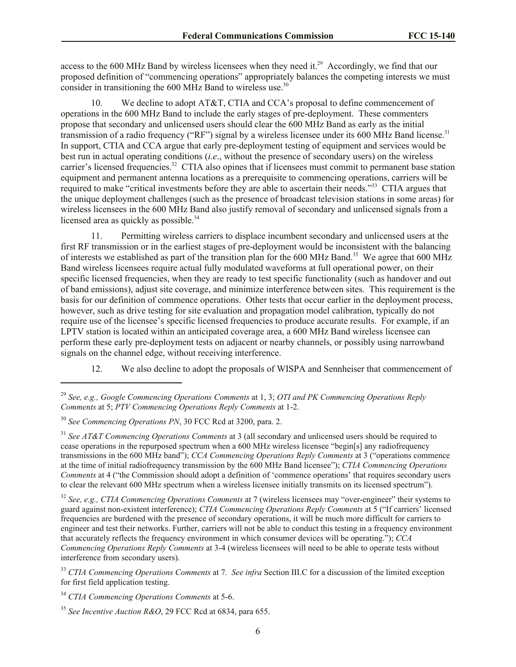access to the 600 MHz Band by wireless licensees when they need it.<sup>29</sup> Accordingly, we find that our proposed definition of "commencing operations" appropriately balances the competing interests we must consider in transitioning the  $600$  MHz Band to wireless use.<sup>30</sup>

10. We decline to adopt AT&T, CTIA and CCA's proposal to define commencement of operations in the 600 MHz Band to include the early stages of pre-deployment. These commenters propose that secondary and unlicensed users should clear the 600 MHz Band as early as the initial transmission of a radio frequency ("RF") signal by a wireless licensee under its 600 MHz Band license.<sup>31</sup> In support, CTIA and CCA argue that early pre-deployment testing of equipment and services would be best run in actual operating conditions (*i.e*., without the presence of secondary users) on the wireless carrier's licensed frequencies.<sup>32</sup> CTIA also opines that if licensees must commit to permanent base station equipment and permanent antenna locations as a prerequisite to commencing operations, carriers will be required to make "critical investments before they are able to ascertain their needs."<sup>33</sup> CTIA argues that the unique deployment challenges (such as the presence of broadcast television stations in some areas) for wireless licensees in the 600 MHz Band also justify removal of secondary and unlicensed signals from a licensed area as quickly as possible.<sup>34</sup>

11. Permitting wireless carriers to displace incumbent secondary and unlicensed users at the first RF transmission or in the earliest stages of pre-deployment would be inconsistent with the balancing of interests we established as part of the transition plan for the  $600$  MHz Band.<sup>35</sup> We agree that  $600$  MHz Band wireless licensees require actual fully modulated waveforms at full operational power, on their specific licensed frequencies, when they are ready to test specific functionality (such as handover and out of band emissions), adjust site coverage, and minimize interference between sites. This requirement is the basis for our definition of commence operations. Other tests that occur earlier in the deployment process, however, such as drive testing for site evaluation and propagation model calibration, typically do not require use of the licensee's specific licensed frequencies to produce accurate results. For example, if an LPTV station is located within an anticipated coverage area, a 600 MHz Band wireless licensee can perform these early pre-deployment tests on adjacent or nearby channels, or possibly using narrowband signals on the channel edge, without receiving interference.

12. We also decline to adopt the proposals of WISPA and Sennheiser that commencement of

l

<sup>29</sup> *See, e.g., Google Commencing Operations Comments* at 1, 3; *OTI and PK Commencing Operations Reply Comments* at 5; *PTV Commencing Operations Reply Comments* at 1-2.

<sup>30</sup> *See Commencing Operations PN*, 30 FCC Rcd at 3200, para. 2.

<sup>31</sup> *See AT&T Commencing Operations Comments* at 3 (all secondary and unlicensed users should be required to cease operations in the repurposed spectrum when a 600 MHz wireless licensee "begin[s] any radiofrequency transmissions in the 600 MHz band"); *CCA Commencing Operations Reply Comments* at 3 ("operations commence at the time of initial radiofrequency transmission by the 600 MHz Band licensee"); *CTIA Commencing Operations Comments* at 4 ("the Commission should adopt a definition of 'commence operations' that requires secondary users to clear the relevant 600 MHz spectrum when a wireless licensee initially transmits on its licensed spectrum").

<sup>32</sup> *See, e.g., CTIA Commencing Operations Comments* at 7 (wireless licensees may "over-engineer" their systems to guard against non-existent interference); *CTIA Commencing Operations Reply Comments* at 5 ("If carriers' licensed frequencies are burdened with the presence of secondary operations, it will be much more difficult for carriers to engineer and test their networks. Further, carriers will not be able to conduct this testing in a frequency environment that accurately reflects the frequency environment in which consumer devices will be operating."); *CCA Commencing Operations Reply Comments* at 3-4 (wireless licensees will need to be able to operate tests without interference from secondary users).

<sup>33</sup> *CTIA Commencing Operations Comments* at 7*. See infra* Section III.C for a discussion of the limited exception for first field application testing.

<sup>34</sup> *CTIA Commencing Operations Comments* at 5-6.

<sup>35</sup> *See Incentive Auction R&O*, 29 FCC Rcd at 6834, para 655.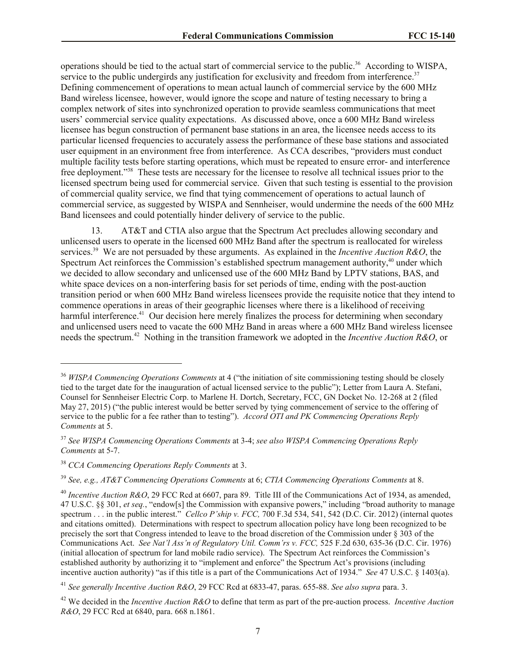operations should be tied to the actual start of commercial service to the public.<sup>36</sup> According to WISPA, service to the public undergirds any justification for exclusivity and freedom from interference.<sup>37</sup> Defining commencement of operations to mean actual launch of commercial service by the 600 MHz Band wireless licensee, however, would ignore the scope and nature of testing necessary to bring a complex network of sites into synchronized operation to provide seamless communications that meet users' commercial service quality expectations. As discussed above, once a 600 MHz Band wireless licensee has begun construction of permanent base stations in an area, the licensee needs access to its particular licensed frequencies to accurately assess the performance of these base stations and associated user equipment in an environment free from interference. As CCA describes, "providers must conduct multiple facility tests before starting operations, which must be repeated to ensure error- and interference free deployment."<sup>38</sup> These tests are necessary for the licensee to resolve all technical issues prior to the licensed spectrum being used for commercial service. Given that such testing is essential to the provision of commercial quality service, we find that tying commencement of operations to actual launch of commercial service, as suggested by WISPA and Sennheiser, would undermine the needs of the 600 MHz Band licensees and could potentially hinder delivery of service to the public.

13. AT&T and CTIA also argue that the Spectrum Act precludes allowing secondary and unlicensed users to operate in the licensed 600 MHz Band after the spectrum is reallocated for wireless services.<sup>39</sup> We are not persuaded by these arguments. As explained in the *Incentive Auction R&O*, the Spectrum Act reinforces the Commission's established spectrum management authority, $40$  under which we decided to allow secondary and unlicensed use of the 600 MHz Band by LPTV stations, BAS, and white space devices on a non-interfering basis for set periods of time, ending with the post-auction transition period or when 600 MHz Band wireless licensees provide the requisite notice that they intend to commence operations in areas of their geographic licenses where there is a likelihood of receiving harmful interference.<sup>41</sup> Our decision here merely finalizes the process for determining when secondary and unlicensed users need to vacate the 600 MHz Band in areas where a 600 MHz Band wireless licensee needs the spectrum.<sup>42</sup> Nothing in the transition framework we adopted in the *Incentive Auction R&O*, or

l

<sup>36</sup> *WISPA Commencing Operations Comments* at 4 ("the initiation of site commissioning testing should be closely tied to the target date for the inauguration of actual licensed service to the public"); Letter from Laura A. Stefani, Counsel for Sennheiser Electric Corp. to Marlene H. Dortch, Secretary, FCC, GN Docket No. 12-268 at 2 (filed May 27, 2015) ("the public interest would be better served by tying commencement of service to the offering of service to the public for a fee rather than to testing"). *Accord OTI and PK Commencing Operations Reply Comments* at 5.

<sup>37</sup> *See WISPA Commencing Operations Comments* at 3-4; *see also WISPA Commencing Operations Reply Comments* at 5-7.

<sup>38</sup> *CCA Commencing Operations Reply Comments* at 3.

<sup>39</sup> *See, e.g., AT&T Commencing Operations Comments* at 6; *CTIA Commencing Operations Comments* at 8.

<sup>40</sup> *Incentive Auction R&O*, 29 FCC Rcd at 6607, para 89. Title III of the Communications Act of 1934, as amended, 47 U.S.C. §§ 301, *et seq.*, "endow[s] the Commission with expansive powers," including "broad authority to manage spectrum . . . in the public interest." *Cellco P'ship v. FCC,* 700 F.3d 534, 541, 542 (D.C. Cir. 2012) (internal quotes and citations omitted). Determinations with respect to spectrum allocation policy have long been recognized to be precisely the sort that Congress intended to leave to the broad discretion of the Commission under § 303 of the Communications Act. *See Nat'l Ass'n of Regulatory Util. Comm'rs v. FCC,* 525 F.2d 630, 635-36 (D.C. Cir. 1976) (initial allocation of spectrum for land mobile radio service). The Spectrum Act reinforces the Commission's established authority by authorizing it to "implement and enforce" the Spectrum Act's provisions (including incentive auction authority) "as if this title is a part of the Communications Act of 1934." *See* 47 U.S.C. § 1403(a).

<sup>41</sup> *See generally Incentive Auction R&O*, 29 FCC Rcd at 6833-47, paras. 655-88. *See also supra* para. 3.

<sup>42</sup> We decided in the *Incentive Auction R&O* to define that term as part of the pre-auction process. *Incentive Auction R&O*, 29 FCC Rcd at 6840, para. 668 n.1861.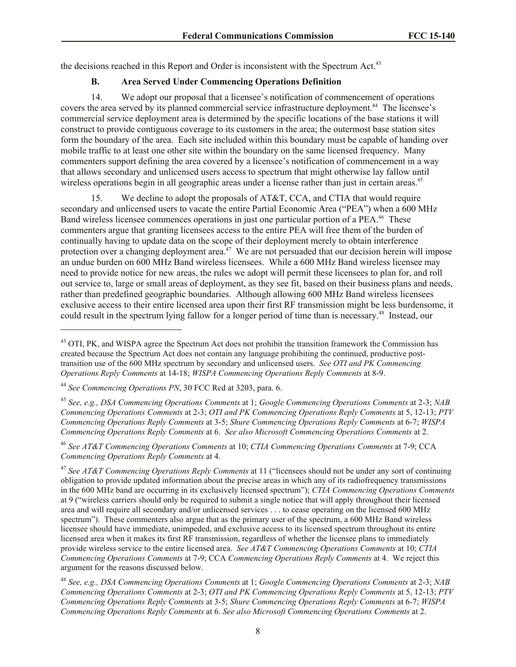the decisions reached in this Report and Order is inconsistent with the Spectrum Act.<sup>43</sup>

# **B. Area Served Under Commencing Operations Definition**

14. We adopt our proposal that a licensee's notification of commencement of operations covers the area served by its planned commercial service infrastructure deployment.<sup>44</sup> The licensee's commercial service deployment area is determined by the specific locations of the base stations it will construct to provide contiguous coverage to its customers in the area; the outermost base station sites form the boundary of the area. Each site included within this boundary must be capable of handing over mobile traffic to at least one other site within the boundary on the same licensed frequency. Many commenters support defining the area covered by a licensee's notification of commencement in a way that allows secondary and unlicensed users access to spectrum that might otherwise lay fallow until wireless operations begin in all geographic areas under a license rather than just in certain areas.<sup>45</sup>

15. We decline to adopt the proposals of AT&T, CCA, and CTIA that would require secondary and unlicensed users to vacate the entire Partial Economic Area ("PEA") when a 600 MHz Band wireless licensee commences operations in just one particular portion of a PEA.<sup>46</sup> These commenters argue that granting licensees access to the entire PEA will free them of the burden of continually having to update data on the scope of their deployment merely to obtain interference protection over a changing deployment area.<sup>47</sup> We are not persuaded that our decision herein will impose an undue burden on 600 MHz Band wireless licensees. While a 600 MHz Band wireless licensee may need to provide notice for new areas, the rules we adopt will permit these licensees to plan for, and roll out service to, large or small areas of deployment, as they see fit, based on their business plans and needs, rather than predefined geographic boundaries. Although allowing 600 MHz Band wireless licensees exclusive access to their entire licensed area upon their first RF transmission might be less burdensome, it could result in the spectrum lying fallow for a longer period of time than is necessary.<sup>48</sup> Instead, our

<sup>44</sup> *See Commencing Operations PN*, 30 FCC Rcd at 3203, para. 6.

l

<sup>45</sup> *See, e.g., DSA Commencing Operations Comments* at 1; *Google Commencing Operations Comments* at 2-3; *NAB Commencing Operations Comments* at 2-3; *OTI and PK Commencing Operations Reply Comments* at 5, 12-13; *PTV Commencing Operations Reply Comments* at 3-5; *Shure Commencing Operations Reply Comments* at 6-7; *WISPA Commencing Operations Reply Comments* at 6. *See also Microsoft Commencing Operations Comments* at 2.

<sup>46</sup> *See AT&T Commencing Operations Comments* at 10; *CTIA Commencing Operations Comments* at 7-9; CCA *Commencing Operations Reply Comments* at 4.

<sup>47</sup> *See AT&T Commencing Operations Reply Comments* at 11 ("licensees should not be under any sort of continuing obligation to provide updated information about the precise areas in which any of its radiofrequency transmissions in the 600 MHz band are occurring in its exclusively licensed spectrum"); *CTIA Commencing Operations Comments* at 9 ("wireless carriers should only be required to submit a single notice that will apply throughout their licensed area and will require all secondary and/or unlicensed services . . . to cease operating on the licensed 600 MHz spectrum"). These commenters also argue that as the primary user of the spectrum, a 600 MHz Band wireless licensee should have immediate, unimpeded, and exclusive access to its licensed spectrum throughout its entire licensed area when it makes its first RF transmission, regardless of whether the licensee plans to immediately provide wireless service to the entire licensed area. *See AT&T Commencing Operations Comments* at 10; *CTIA Commencing Operations Comments* at 7-9; CCA *Commencing Operations Reply Comments* at 4. We reject this argument for the reasons discussed below.

<sup>48</sup> *See, e.g., DSA Commencing Operations Comments* at 1; *Google Commencing Operations Comments* at 2-3; *NAB Commencing Operations Comments* at 2-3; *OTI and PK Commencing Operations Reply Comments* at 5, 12-13; *PTV Commencing Operations Reply Comments* at 3-5; *Shure Commencing Operations Reply Comments* at 6-7; *WISPA Commencing Operations Reply Comments* at 6. *See also Microsoft Commencing Operations Comments* at 2.

<sup>&</sup>lt;sup>43</sup> OTI, PK, and WISPA agree the Spectrum Act does not prohibit the transition framework the Commission has created because the Spectrum Act does not contain any language prohibiting the continued, productive posttransition use of the 600 MHz spectrum by secondary and unlicensed users. *See OTI and PK Commencing Operations Reply Comments* at 14-18; *WISPA Commencing Operations Reply Comments* at 8-9.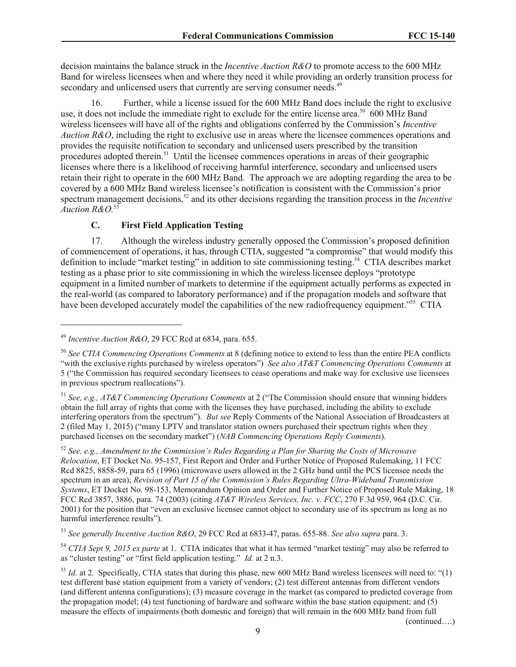decision maintains the balance struck in the *Incentive Auction R&O* to promote access to the 600 MHz Band for wireless licensees when and where they need it while providing an orderly transition process for secondary and unlicensed users that currently are serving consumer needs.<sup>49</sup>

16. Further, while a license issued for the 600 MHz Band does include the right to exclusive use, it does not include the immediate right to exclude for the entire license area.<sup>50</sup> 600 MHz Band wireless licensees will have all of the rights and obligations conferred by the Commission's *Incentive Auction R&O*, including the right to exclusive use in areas where the licensee commences operations and provides the requisite notification to secondary and unlicensed users prescribed by the transition procedures adopted therein.<sup>51</sup> Until the licensee commences operations in areas of their geographic licenses where there is a likelihood of receiving harmful interference, secondary and unlicensed users retain their right to operate in the 600 MHz Band.The approach we are adopting regarding the area to be covered by a 600 MHz Band wireless licensee's notification is consistent with the Commission's prior spectrum management decisions, <sup>52</sup> and its other decisions regarding the transition process in the *Incentive Auction R&O.* 53

# **C. First Field Application Testing**

17. Although the wireless industry generally opposed the Commission's proposed definition of commencement of operations, it has, through CTIA, suggested "a compromise" that would modify this definition to include "market testing" in addition to site commissioning testing.<sup>54</sup> CTIA describes market testing as a phase prior to site commissioning in which the wireless licensee deploys "prototype equipment in a limited number of markets to determine if the equipment actually performs as expected in the real-world (as compared to laboratory performance) and if the propagation models and software that have been developed accurately model the capabilities of the new radiofrequency equipment."<sup>55</sup> CTIA

l

<sup>53</sup> *See generally Incentive Auction R&O*, 29 FCC Rcd at 6833-47, paras. 655-88. *See also supra* para. 3.

<sup>54</sup> *CTIA Sept 9, 2015 ex parte* at 1. CTIA indicates that what it has termed "market testing" may also be referred to as "cluster testing" or "first field application testing." *Id.* at 2 n.3.

(continued….)

<sup>49</sup> *Incentive Auction R&O*, 29 FCC Rcd at 6834, para. 655.

<sup>50</sup> *See CTIA Commencing Operations Comments* at 8 (defining notice to extend to less than the entire PEA conflicts "with the exclusive rights purchased by wireless operators") *See also AT&T Commencing Operations Comments* at 5 ("the Commission has required secondary licensees to cease operations and make way for exclusive use licensees in previous spectrum reallocations").

<sup>51</sup> *See, e.g., AT&T Commencing Operations Comments* at 2 ("The Commission should ensure that winning bidders obtain the full array of rights that come with the licenses they have purchased, including the ability to exclude interfering operators from the spectrum"). *But see* Reply Comments of the National Association of Broadcasters at 2 (filed May 1, 2015) ("many LPTV and translator station owners purchased their spectrum rights when they purchased licenses on the secondary market") (*NAB Commencing Operations Reply Comments*).

<sup>52</sup> *See, e.g., Amendment to the Commission's Rules Regarding a Plan for Sharing the Costs of Microwave Relocation*, ET Docket No. 95-157, First Report and Order and Further Notice of Proposed Rulemaking, 11 FCC Rcd 8825, 8858-59, para 65 (1996) (microwave users allowed in the 2 GHz band until the PCS licensee needs the spectrum in an area); *Revision of Part 15 of the Commission's Rules Regarding Ultra-Wideband Transmission Systems*, ET Docket No. 98-153, Memorandum Opinion and Order and Further Notice of Proposed Rule Making, 18 FCC Rcd 3857, 3886, para. 74 (2003) (citing *AT&T Wireless Services, Inc. v. FCC*, 270 F.3d 959, 964 (D.C. Cir. 2001) for the position that "even an exclusive licensee cannot object to secondary use of its spectrum as long as no harmful interference results").

<sup>&</sup>lt;sup>55</sup> *Id.* at 2. Specifically, CTIA states that during this phase, new 600 MHz Band wireless licensees will need to: "(1) test different base station equipment from a variety of vendors; (2) test different antennas from different vendors (and different antenna configurations); (3) measure coverage in the market (as compared to predicted coverage from the propagation model; (4) test functioning of hardware and software within the base station equipment; and (5) measure the effects of impairments (both domestic and foreign) that will remain in the 600 MHz band from full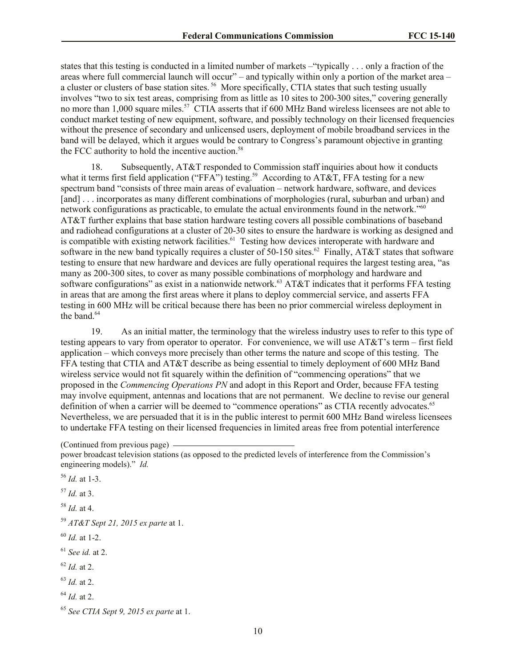states that this testing is conducted in a limited number of markets –"typically . . . only a fraction of the areas where full commercial launch will occur" – and typically within only a portion of the market area – a cluster or clusters of base station sites.<sup>56</sup> More specifically, CTIA states that such testing usually involves "two to six test areas, comprising from as little as 10 sites to 200-300 sites," covering generally no more than 1,000 square miles.<sup>57</sup> CTIA asserts that if 600 MHz Band wireless licensees are not able to conduct market testing of new equipment, software, and possibly technology on their licensed frequencies without the presence of secondary and unlicensed users, deployment of mobile broadband services in the band will be delayed, which it argues would be contrary to Congress's paramount objective in granting the FCC authority to hold the incentive auction.<sup>58</sup>

18. Subsequently, AT&T responded to Commission staff inquiries about how it conducts what it terms first field application ("FFA") testing.<sup>59</sup> According to AT&T, FFA testing for a new spectrum band "consists of three main areas of evaluation – network hardware, software, and devices [and] . . . incorporates as many different combinations of morphologies (rural, suburban and urban) and network configurations as practicable, to emulate the actual environments found in the network."<sup>60</sup> AT&T further explains that base station hardware testing covers all possible combinations of baseband and radiohead configurations at a cluster of 20-30 sites to ensure the hardware is working as designed and is compatible with existing network facilities.<sup>61</sup> Testing how devices interoperate with hardware and software in the new band typically requires a cluster of 50-150 sites.<sup>62</sup> Finally, AT&T states that software testing to ensure that new hardware and devices are fully operational requires the largest testing area, "as many as 200-300 sites, to cover as many possible combinations of morphology and hardware and software configurations" as exist in a nationwide network.<sup>63</sup> AT&T indicates that it performs FFA testing in areas that are among the first areas where it plans to deploy commercial service, and asserts FFA testing in 600 MHz will be critical because there has been no prior commercial wireless deployment in the band. $64$ 

19. As an initial matter, the terminology that the wireless industry uses to refer to this type of testing appears to vary from operator to operator. For convenience, we will use AT&T's term – first field application – which conveys more precisely than other terms the nature and scope of this testing. The FFA testing that CTIA and AT&T describe as being essential to timely deployment of 600 MHz Band wireless service would not fit squarely within the definition of "commencing operations" that we proposed in the *Commencing Operations PN* and adopt in this Report and Order, because FFA testing may involve equipment, antennas and locations that are not permanent. We decline to revise our general definition of when a carrier will be deemed to "commence operations" as CTIA recently advocates.<sup>65</sup> Nevertheless, we are persuaded that it is in the public interest to permit 600 MHz Band wireless licensees to undertake FFA testing on their licensed frequencies in limited areas free from potential interference

<sup>(</sup>Continued from previous page)

power broadcast television stations (as opposed to the predicted levels of interference from the Commission's engineering models)." *Id.*

<sup>56</sup> *Id.* at 1-3. <sup>57</sup> *Id.* at 3. <sup>58</sup> *Id.* at 4. <sup>59</sup> *AT&T Sept 21, 2015 ex parte* at 1. <sup>60</sup> *Id.* at 1-2. <sup>61</sup> *See id.* at 2. <sup>62</sup> *Id.* at 2. <sup>63</sup> *Id.* at 2. <sup>64</sup> *Id.* at 2. <sup>65</sup> *See CTIA Sept 9, 2015 ex parte* at 1.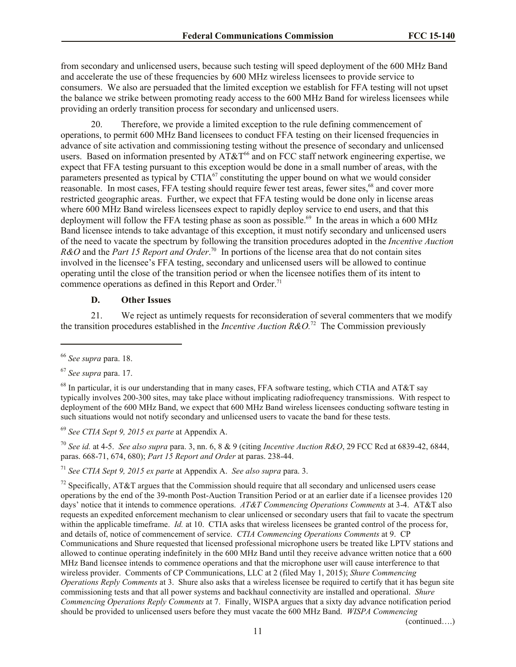from secondary and unlicensed users, because such testing will speed deployment of the 600 MHz Band and accelerate the use of these frequencies by 600 MHz wireless licensees to provide service to consumers. We also are persuaded that the limited exception we establish for FFA testing will not upset the balance we strike between promoting ready access to the 600 MHz Band for wireless licensees while providing an orderly transition process for secondary and unlicensed users.

20. Therefore, we provide a limited exception to the rule defining commencement of operations, to permit 600 MHz Band licensees to conduct FFA testing on their licensed frequencies in advance of site activation and commissioning testing without the presence of secondary and unlicensed users. Based on information presented by  $AT&T^{66}$  and on FCC staff network engineering expertise, we expect that FFA testing pursuant to this exception would be done in a small number of areas, with the parameters presented as typical by CTIA<sup>67</sup> constituting the upper bound on what we would consider reasonable. In most cases, FFA testing should require fewer test areas, fewer sites,<sup>68</sup> and cover more restricted geographic areas. Further, we expect that FFA testing would be done only in license areas where 600 MHz Band wireless licensees expect to rapidly deploy service to end users, and that this deployment will follow the FFA testing phase as soon as possible.<sup>69</sup> In the areas in which a 600 MHz Band licensee intends to take advantage of this exception, it must notify secondary and unlicensed users of the need to vacate the spectrum by following the transition procedures adopted in the *Incentive Auction R&O* and the *Part 15 Report and Order*.<sup>70</sup> In portions of the license area that do not contain sites involved in the licensee's FFA testing, secondary and unlicensed users will be allowed to continue operating until the close of the transition period or when the licensee notifies them of its intent to commence operations as defined in this Report and Order.<sup>71</sup>

#### **D. Other Issues**

21. We reject as untimely requests for reconsideration of several commenters that we modify the transition procedures established in the *Incentive Auction R&O.*<sup>72</sup> The Commission previously

 $\overline{\phantom{a}}$ 

<sup>69</sup> *See CTIA Sept 9, 2015 ex parte* at Appendix A.

<sup>70</sup> *See id.* at 4-5. *See also supra* para. 3, nn. 6, 8 & 9 (citing *Incentive Auction R&O*, 29 FCC Rcd at 6839-42, 6844, paras. 668-71, 674, 680); *Part 15 Report and Order* at paras. 238-44.

<sup>71</sup> *See CTIA Sept 9, 2015 ex parte* at Appendix A. *See also supra* para. 3.

<sup>72</sup> Specifically, AT&T argues that the Commission should require that all secondary and unlicensed users cease operations by the end of the 39-month Post-Auction Transition Period or at an earlier date if a licensee provides 120 days' notice that it intends to commence operations. *AT&T Commencing Operations Comments* at 3-4. AT&T also requests an expedited enforcement mechanism to clear unlicensed or secondary users that fail to vacate the spectrum within the applicable timeframe. *Id.* at 10. CTIA asks that wireless licensees be granted control of the process for, and details of, notice of commencement of service. *CTIA Commencing Operations Comments* at 9. CP Communications and Shure requested that licensed professional microphone users be treated like LPTV stations and allowed to continue operating indefinitely in the 600 MHz Band until they receive advance written notice that a 600 MHz Band licensee intends to commence operations and that the microphone user will cause interference to that wireless provider. Comments of CP Communications, LLC at 2 (filed May 1, 2015); *Shure Commencing Operations Reply Comments* at 3. Shure also asks that a wireless licensee be required to certify that it has begun site commissioning tests and that all power systems and backhaul connectivity are installed and operational. *Shure Commencing Operations Reply Comments* at 7. Finally, WISPA argues that a sixty day advance notification period should be provided to unlicensed users before they must vacate the 600 MHz Band. *WISPA Commencing* 

(continued….)

<sup>66</sup> *See supra* para. 18.

<sup>67</sup> *See supra* para. 17.

 $^{68}$  In particular, it is our understanding that in many cases, FFA software testing, which CTIA and AT&T say typically involves 200-300 sites, may take place without implicating radiofrequency transmissions. With respect to deployment of the 600 MHz Band, we expect that 600 MHz Band wireless licensees conducting software testing in such situations would not notify secondary and unlicensed users to vacate the band for these tests.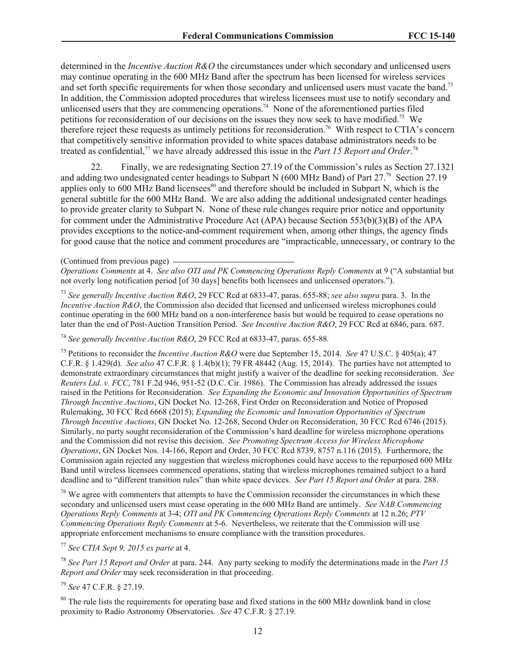determined in the *Incentive Auction R&O* the circumstances under which secondary and unlicensed users may continue operating in the 600 MHz Band after the spectrum has been licensed for wireless services and set forth specific requirements for when those secondary and unlicensed users must vacate the band.<sup>73</sup> In addition, the Commission adopted procedures that wireless licensees must use to notify secondary and unlicensed users that they are commencing operations.<sup>74</sup> None of the aforementioned parties filed petitions for reconsideration of our decisions on the issues they now seek to have modified.<sup>75</sup> We therefore reject these requests as untimely petitions for reconsideration.<sup>76</sup> With respect to CTIA's concern that competitively sensitive information provided to white spaces database administrators needs to be treated as confidential,<sup>77</sup> we have already addressed this issue in the *Part 15 Report and Order*.<sup>78</sup>

22. Finally, we are redesignating Section 27.19 of the Commission's rules as Section 27.1321 and adding two undesignated center headings to Subpart N (600 MHz Band) of Part 27.<sup>79</sup> Section 27.19 applies only to 600 MHz Band licensees<sup>80</sup> and therefore should be included in Subpart N, which is the general subtitle for the 600 MHz Band. We are also adding the additional undesignated center headings to provide greater clarity to Subpart N. None of these rule changes require prior notice and opportunity for comment under the Administrative Procedure Act (APA) because Section 553(b)(3)(B) of the APA provides exceptions to the notice-and-comment requirement when, among other things, the agency finds for good cause that the notice and comment procedures are "impracticable, unnecessary, or contrary to the

<sup>73</sup> *See generally Incentive Auction R&O*, 29 FCC Rcd at 6833-47, paras. 655-88; *see also supra* para. 3. In the *Incentive Auction R&O*, the Commission also decided that licensed and unlicensed wireless microphones could continue operating in the 600 MHz band on a non-interference basis but would be required to cease operations no later than the end of Post-Auction Transition Period. *See Incentive Auction R&O*, 29 FCC Rcd at 6846, para. 687.

<sup>74</sup> *See generally Incentive Auction R&O*, 29 FCC Rcd at 6833-47, paras. 655-88*.*

<sup>75</sup> Petitions to reconsider the *Incentive Auction R&O* were due September 15, 2014. *See* 47 U.S.C. § 405(a); 47 C.F.R. § 1.429(d). *See also* 47 C.F.R. § 1.4(b)(1); 79 FR 48442 (Aug. 15, 2014). The parties have not attempted to demonstrate extraordinary circumstances that might justify a waiver of the deadline for seeking reconsideration. *See Reuters Ltd. v. FCC*, 781 F.2d 946, 951-52 (D.C. Cir. 1986). The Commission has already addressed the issues raised in the Petitions for Reconsideration. *See Expanding the Economic and Innovation Opportunities of Spectrum Through Incentive Auctions*, GN Docket No. 12-268, First Order on Reconsideration and Notice of Proposed Rulemaking, 30 FCC Rcd 6668 (2015); *Expanding the Economic and Innovation Opportunities of Spectrum Through Incentive Auctions*, GN Docket No. 12-268, Second Order on Reconsideration, 30 FCC Rcd 6746 (2015). Similarly, no party sought reconsideration of the Commission's hard deadline for wireless microphone operations and the Commission did not revise this decision. *See Promoting Spectrum Access for Wireless Microphone Operations*, GN Docket Nos. 14-166, Report and Order, 30 FCC Rcd 8739, 8757 n.116 (2015). Furthermore, the Commission again rejected any suggestion that wireless microphones could have access to the repurposed 600 MHz Band until wireless licensees commenced operations, stating that wireless microphones remained subject to a hard deadline and to "different transition rules" than white space devices. *See Part 15 Report and Order* at para. 288.

<sup>76</sup> We agree with commenters that attempts to have the Commission reconsider the circumstances in which these secondary and unlicensed users must cease operating in the 600 MHz Band are untimely. *See NAB Commencing Operations Reply Comments* at 3-4; *OTI and PK Commencing Operations Reply Comments* at 12 n.26; *PTV Commencing Operations Reply Comments* at 5-6. Nevertheless, we reiterate that the Commission will use appropriate enforcement mechanisms to ensure compliance with the transition procedures.

<sup>77</sup> *See CTIA Sept 9, 2015 ex parte* at 4.

<sup>78</sup> *See Part 15 Report and Order* at para. 244. Any party seeking to modify the determinations made in the *Part 15 Report and Order* may seek reconsideration in that proceeding.

<sup>79</sup> *See* 47 C.F.R. § 27.19.

<sup>80</sup> The rule lists the requirements for operating base and fixed stations in the 600 MHz downlink band in close proximity to Radio Astronomy Observatories. *See* 47 C.F.R. § 27.19.

<sup>(</sup>Continued from previous page)

*Operations Comments* at 4. *See also OTI and PK Commencing Operations Reply Comments* at 9 ("A substantial but not overly long notification period [of 30 days] benefits both licensees and unlicensed operators.").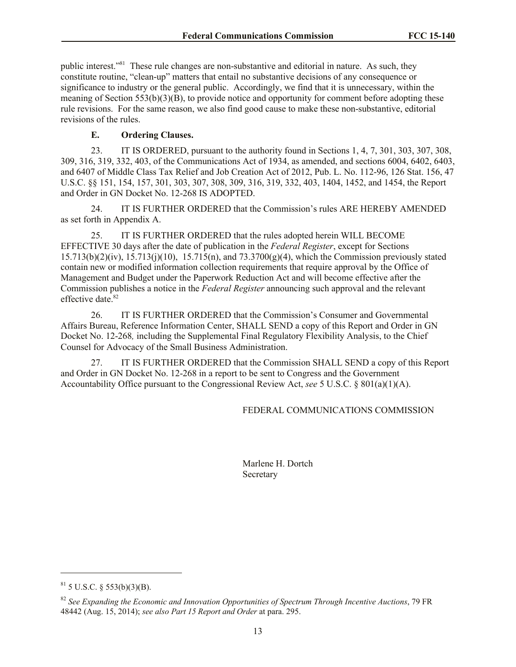public interest.<sup>381</sup> These rule changes are non-substantive and editorial in nature. As such, they constitute routine, "clean-up" matters that entail no substantive decisions of any consequence or significance to industry or the general public. Accordingly, we find that it is unnecessary, within the meaning of Section 553(b)(3)(B), to provide notice and opportunity for comment before adopting these rule revisions. For the same reason, we also find good cause to make these non-substantive, editorial revisions of the rules.

# **E. Ordering Clauses.**

23. IT IS ORDERED, pursuant to the authority found in Sections 1, 4, 7, 301, 303, 307, 308, 309, 316, 319, 332, 403, of the Communications Act of 1934, as amended, and sections 6004, 6402, 6403, and 6407 of Middle Class Tax Relief and Job Creation Act of 2012, Pub. L. No. 112-96, 126 Stat. 156, 47 U.S.C. §§ 151, 154, 157, 301, 303, 307, 308, 309, 316, 319, 332, 403, 1404, 1452, and 1454, the Report and Order in GN Docket No. 12-268 IS ADOPTED.

24. IT IS FURTHER ORDERED that the Commission's rules ARE HEREBY AMENDED as set forth in Appendix A.

25. IT IS FURTHER ORDERED that the rules adopted herein WILL BECOME EFFECTIVE 30 days after the date of publication in the *Federal Register*, except for Sections  $15.713(b)(2)(iv)$ ,  $15.713(i)(10)$ ,  $15.715(n)$ , and  $73.3700(g)(4)$ , which the Commission previously stated contain new or modified information collection requirements that require approval by the Office of Management and Budget under the Paperwork Reduction Act and will become effective after the Commission publishes a notice in the *Federal Register* announcing such approval and the relevant effective date. 82

26. IT IS FURTHER ORDERED that the Commission's Consumer and Governmental Affairs Bureau, Reference Information Center, SHALL SEND a copy of this Report and Order in GN Docket No. 12-268*,* including the Supplemental Final Regulatory Flexibility Analysis, to the Chief Counsel for Advocacy of the Small Business Administration.

27. IT IS FURTHER ORDERED that the Commission SHALL SEND a copy of this Report and Order in GN Docket No. 12-268 in a report to be sent to Congress and the Government Accountability Office pursuant to the Congressional Review Act, *see* 5 U.S.C. § 801(a)(1)(A).

### FEDERAL COMMUNICATIONS COMMISSION

Marlene H. Dortch Secretary

 $\overline{\phantom{a}}$ 

 $81$  5 U.S.C. § 553(b)(3)(B).

<sup>82</sup> *See Expanding the Economic and Innovation Opportunities of Spectrum Through Incentive Auctions*, 79 FR 48442 (Aug. 15, 2014); *see also Part 15 Report and Order* at para. 295.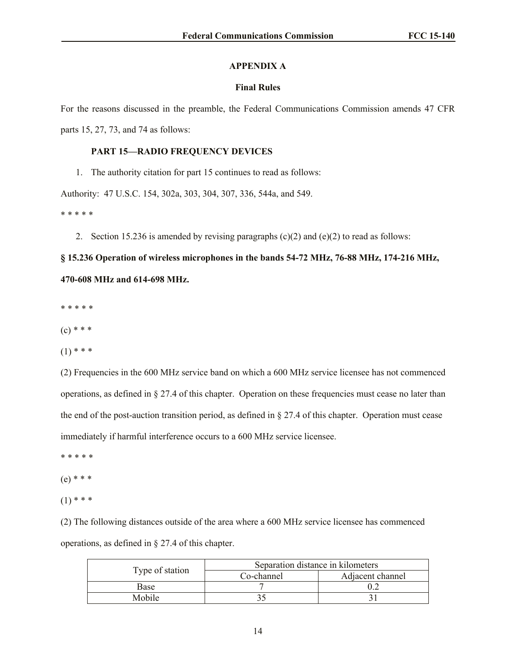#### **APPENDIX A**

#### **Final Rules**

For the reasons discussed in the preamble, the Federal Communications Commission amends 47 CFR parts 15, 27, 73, and 74 as follows:

#### **PART 15—RADIO FREQUENCY DEVICES**

1. The authority citation for part 15 continues to read as follows:

Authority: 47 U.S.C. 154, 302a, 303, 304, 307, 336, 544a, and 549.

\* \* \* \* \*

2. Section 15.236 is amended by revising paragraphs  $(c)(2)$  and  $(e)(2)$  to read as follows:

# **§ 15.236 Operation of wireless microphones in the bands 54-72 MHz, 76-88 MHz, 174-216 MHz, 470-608 MHz and 614-698 MHz.**

\* \* \* \* \*

 $(c) * * *$ 

 $(1)$  \* \* \*

(2) Frequencies in the 600 MHz service band on which a 600 MHz service licensee has not commenced operations, as defined in § 27.4 of this chapter. Operation on these frequencies must cease no later than the end of the post-auction transition period, as defined in § 27.4 of this chapter. Operation must cease immediately if harmful interference occurs to a 600 MHz service licensee.

- \* \* \* \* \*
- (e) \* \* \*
- $(1)$  \* \* \*

(2) The following distances outside of the area where a 600 MHz service licensee has commenced operations, as defined in § 27.4 of this chapter.

| Type of station | Separation distance in kilometers |                  |  |
|-----------------|-----------------------------------|------------------|--|
|                 | Co-channel                        | Adjacent channel |  |
| Base            |                                   |                  |  |
| Mobile          |                                   |                  |  |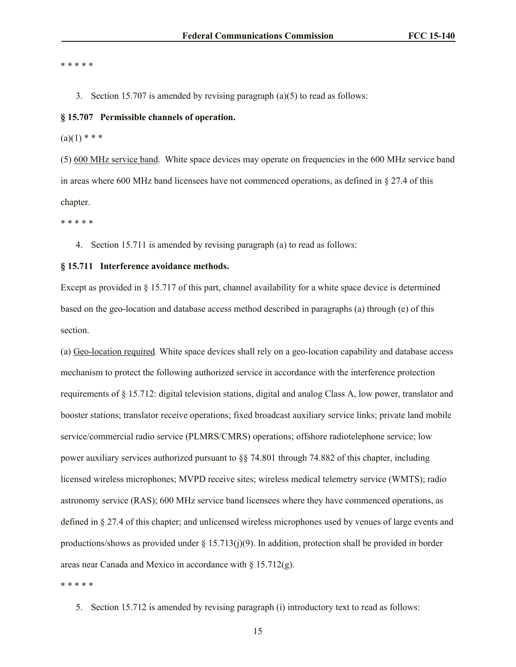#### \* \* \* \* \*

- 3. Section 15.707 is amended by revising paragraph (a)(5) to read as follows:
- **§ 15.707 Permissible channels of operation.**
- $(a)(1)$  \* \* \*

(5) 600 MHz service band. White space devices may operate on frequencies in the 600 MHz service band in areas where 600 MHz band licensees have not commenced operations, as defined in § 27.4 of this chapter.

\* \* \* \* \*

4. Section 15.711 is amended by revising paragraph (a) to read as follows:

#### **§ 15.711 Interference avoidance methods.**

Except as provided in § 15.717 of this part, channel availability for a white space device is determined based on the geo-location and database access method described in paragraphs (a) through (e) of this section.

(a) Geo-location required*.* White space devices shall rely on a geo-location capability and database access mechanism to protect the following authorized service in accordance with the interference protection requirements of § 15.712: digital television stations, digital and analog Class A, low power, translator and booster stations; translator receive operations; fixed broadcast auxiliary service links; private land mobile service/commercial radio service (PLMRS/CMRS) operations; offshore radiotelephone service; low power auxiliary services authorized pursuant to §§ 74.801 through 74.882 of this chapter, including licensed wireless microphones; MVPD receive sites; wireless medical telemetry service (WMTS); radio astronomy service (RAS); 600 MHz service band licensees where they have commenced operations, as defined in § 27.4 of this chapter; and unlicensed wireless microphones used by venues of large events and productions/shows as provided under  $\S 15.713(j)(9)$ . In addition, protection shall be provided in border areas near Canada and Mexico in accordance with § 15.712(g).

\* \* \* \* \*

5. Section 15.712 is amended by revising paragraph (i) introductory text to read as follows: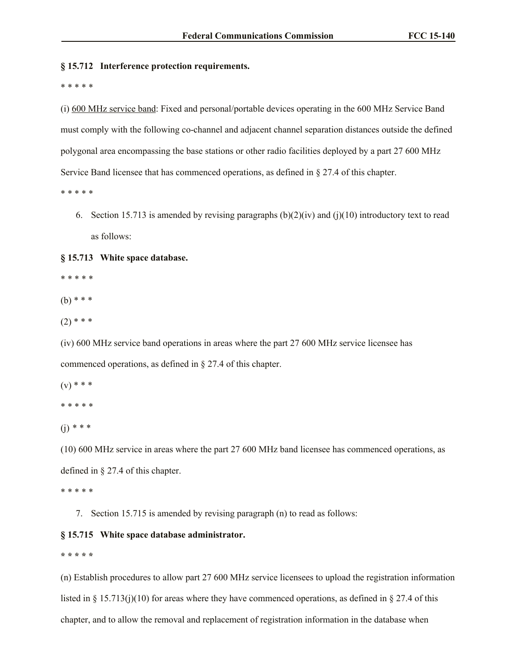#### **§ 15.712 Interference protection requirements.**

\* \* \* \* \*

(i) 600 MHz service band: Fixed and personal/portable devices operating in the 600 MHz Service Band must comply with the following co-channel and adjacent channel separation distances outside the defined polygonal area encompassing the base stations or other radio facilities deployed by a part 27 600 MHz Service Band licensee that has commenced operations, as defined in § 27.4 of this chapter.

\* \* \* \* \*

6. Section 15.713 is amended by revising paragraphs (b)(2)(iv) and (j)(10) introductory text to read as follows:

#### **§ 15.713 White space database.**

\* \* \* \* \*

 $(b)$  \* \* \*

 $(2)$  \* \* \*

(iv) 600 MHz service band operations in areas where the part 27 600 MHz service licensee has commenced operations, as defined in § 27.4 of this chapter.

 $(v) * * *$ 

\* \* \* \* \*

(j) *\* \* \**

(10) 600 MHz service in areas where the part 27 600 MHz band licensee has commenced operations, as defined in § 27.4 of this chapter.

\* \* \* \* \*

7. Section 15.715 is amended by revising paragraph (n) to read as follows:

#### **§ 15.715 White space database administrator.**

**\* \* \* \* \***

(n) Establish procedures to allow part 27 600 MHz service licensees to upload the registration information listed in § 15.713(j)(10) for areas where they have commenced operations, as defined in § 27.4 of this chapter, and to allow the removal and replacement of registration information in the database when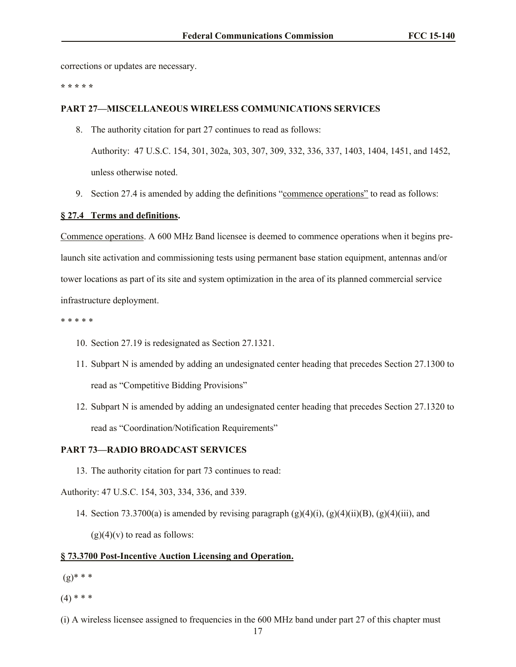corrections or updates are necessary.

**\* \* \* \* \***

### **PART 27—MISCELLANEOUS WIRELESS COMMUNICATIONS SERVICES**

8. The authority citation for part 27 continues to read as follows:

Authority: 47 U.S.C. 154, 301, 302a, 303, 307, 309, 332, 336, 337, 1403, 1404, 1451, and 1452, unless otherwise noted.

9. Section 27.4 is amended by adding the definitions "commence operations" to read as follows:

#### **§ 27.4 Terms and definitions.**

Commence operations. A 600 MHz Band licensee is deemed to commence operations when it begins prelaunch site activation and commissioning tests using permanent base station equipment, antennas and/or tower locations as part of its site and system optimization in the area of its planned commercial service infrastructure deployment.

- \* \* \* \* \*
	- 10. Section 27.19 is redesignated as Section 27.1321.
	- 11. Subpart N is amended by adding an undesignated center heading that precedes Section 27.1300 to read as "Competitive Bidding Provisions"
	- 12. Subpart N is amended by adding an undesignated center heading that precedes Section 27.1320 to read as "Coordination/Notification Requirements"

### **PART 73—RADIO BROADCAST SERVICES**

13. The authority citation for part 73 continues to read:

Authority: 47 U.S.C. 154, 303, 334, 336, and 339.

14. Section 73.3700(a) is amended by revising paragraph  $(g)(4)(i)$ ,  $(g)(4)(ii)(B)$ ,  $(g)(4)(iii)$ , and  $(g)(4)(v)$  to read as follows:

#### **§ 73.3700 Post-Incentive Auction Licensing and Operation.**

- $(g)$ \* \* \*
- $(4)$  \* \* \*
- (i) A wireless licensee assigned to frequencies in the 600 MHz band under part 27 of this chapter must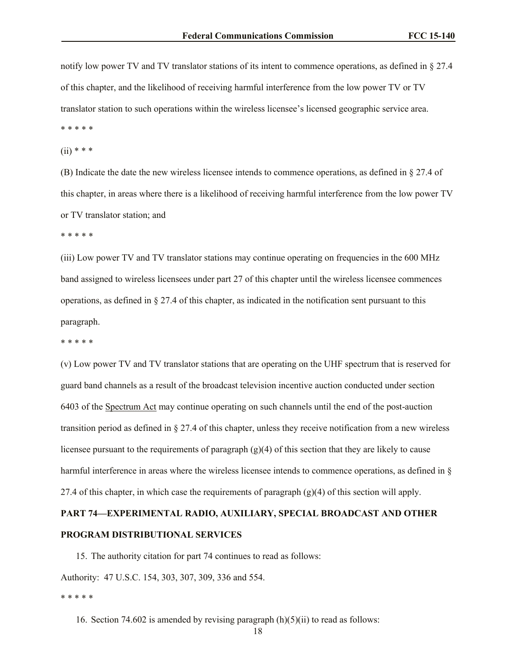notify low power TV and TV translator stations of its intent to commence operations, as defined in § 27.4 of this chapter, and the likelihood of receiving harmful interference from the low power TV or TV translator station to such operations within the wireless licensee's licensed geographic service area.

\* \* \* \* \*  $(ii)$  \* \* \*

(B) Indicate the date the new wireless licensee intends to commence operations, as defined in § 27.4 of this chapter, in areas where there is a likelihood of receiving harmful interference from the low power TV or TV translator station; and

\* \* \* \* \*

(iii) Low power TV and TV translator stations may continue operating on frequencies in the 600 MHz band assigned to wireless licensees under part 27 of this chapter until the wireless licensee commences operations, as defined in § 27.4 of this chapter, as indicated in the notification sent pursuant to this paragraph.

\* \* \* \* \*

(v) Low power TV and TV translator stations that are operating on the UHF spectrum that is reserved for guard band channels as a result of the broadcast television incentive auction conducted under section 6403 of the Spectrum Act may continue operating on such channels until the end of the post-auction transition period as defined in § 27.4 of this chapter, unless they receive notification from a new wireless licensee pursuant to the requirements of paragraph  $(g)(4)$  of this section that they are likely to cause harmful interference in areas where the wireless licensee intends to commence operations, as defined in § 27.4 of this chapter, in which case the requirements of paragraph  $(g)(4)$  of this section will apply.

# **PART 74—EXPERIMENTAL RADIO, AUXILIARY, SPECIAL BROADCAST AND OTHER PROGRAM DISTRIBUTIONAL SERVICES**

15. The authority citation for part 74 continues to read as follows:

Authority: 47 U.S.C. 154, 303, 307, 309, 336 and 554.

\* \* \* \* \*

16. Section 74.602 is amended by revising paragraph  $(h)(5)(ii)$  to read as follows: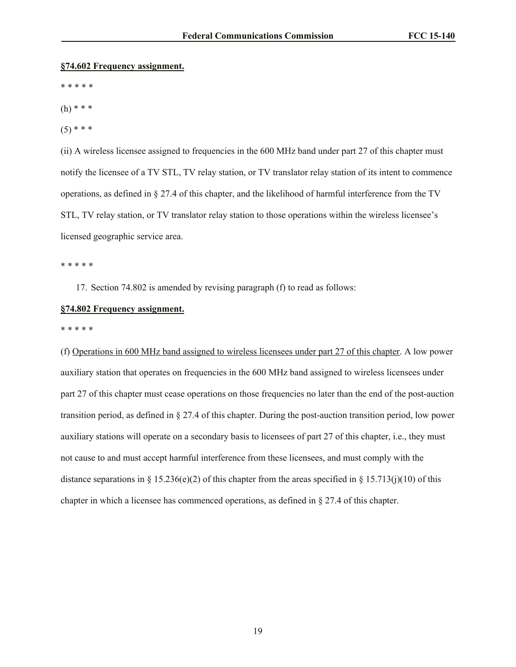#### **§74.602 Frequency assignment.**

\* \* \* \* \*

- (h) \* \* \*
- $(5)$  \* \* \*

(ii) A wireless licensee assigned to frequencies in the 600 MHz band under part 27 of this chapter must notify the licensee of a TV STL, TV relay station, or TV translator relay station of its intent to commence operations, as defined in § 27.4 of this chapter, and the likelihood of harmful interference from the TV STL, TV relay station, or TV translator relay station to those operations within the wireless licensee's licensed geographic service area.

\* \* \* \* \*

17. Section 74.802 is amended by revising paragraph (f) to read as follows:

#### **§74.802 Frequency assignment.**

\* \* \* \* \*

(f) Operations in 600 MHz band assigned to wireless licensees under part 27 of this chapter. A low power auxiliary station that operates on frequencies in the 600 MHz band assigned to wireless licensees under part 27 of this chapter must cease operations on those frequencies no later than the end of the post-auction transition period, as defined in § 27.4 of this chapter. During the post-auction transition period, low power auxiliary stations will operate on a secondary basis to licensees of part 27 of this chapter, i.e., they must not cause to and must accept harmful interference from these licensees, and must comply with the distance separations in § 15.236(e)(2) of this chapter from the areas specified in § 15.713(j)(10) of this chapter in which a licensee has commenced operations, as defined in § 27.4 of this chapter.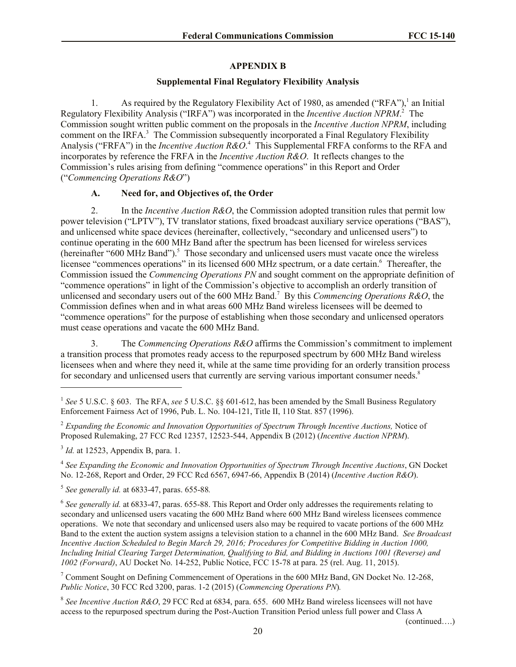# **APPENDIX B**

# **Supplemental Final Regulatory Flexibility Analysis**

1. As required by the Regulatory Flexibility Act of 1980, as amended ("RFA"),<sup>1</sup> an Initial Regulatory Flexibility Analysis ("IRFA") was incorporated in the *Incentive Auction NPRM*. 2 The Commission sought written public comment on the proposals in the *Incentive Auction NPRM*, including comment on the IRFA.<sup>3</sup> The Commission subsequently incorporated a Final Regulatory Flexibility Analysis ("FRFA") in the *Incentive Auction R&O*. 4 This Supplemental FRFA conforms to the RFA and incorporates by reference the FRFA in the *Incentive Auction R&O*. It reflects changes to the Commission's rules arising from defining "commence operations" in this Report and Order ("*Commencing Operations R&O*")

# **A. Need for, and Objectives of, the Order**

2. In the *Incentive Auction R&O*, the Commission adopted transition rules that permit low power television ("LPTV"), TV translator stations, fixed broadcast auxiliary service operations ("BAS"), and unlicensed white space devices (hereinafter, collectively, "secondary and unlicensed users") to continue operating in the 600 MHz Band after the spectrum has been licensed for wireless services (hereinafter "600 MHz Band").<sup>5</sup> Those secondary and unlicensed users must vacate once the wireless licensee "commences operations" in its licensed 600 MHz spectrum, or a date certain.<sup>6</sup> Thereafter, the Commission issued the *Commencing Operations PN* and sought comment on the appropriate definition of "commence operations" in light of the Commission's objective to accomplish an orderly transition of unlicensed and secondary users out of the 600 MHz Band.<sup>7</sup> By this *Commencing Operations R&O*, the Commission defines when and in what areas 600 MHz Band wireless licensees will be deemed to "commence operations" for the purpose of establishing when those secondary and unlicensed operators must cease operations and vacate the 600 MHz Band.

3. The *Commencing Operations R&O* affirms the Commission's commitment to implement a transition process that promotes ready access to the repurposed spectrum by 600 MHz Band wireless licensees when and where they need it, while at the same time providing for an orderly transition process for secondary and unlicensed users that currently are serving various important consumer needs.<sup>8</sup>

<sup>2</sup> *Expanding the Economic and Innovation Opportunities of Spectrum Through Incentive Auctions,* Notice of Proposed Rulemaking, 27 FCC Rcd 12357, 12523-544, Appendix B (2012) (*Incentive Auction NPRM*).

<sup>3</sup> *Id.* at 12523, Appendix B, para. 1.

l

4 *See Expanding the Economic and Innovation Opportunities of Spectrum Through Incentive Auctions*, GN Docket No. 12-268, Report and Order, 29 FCC Rcd 6567, 6947-66, Appendix B (2014) (*Incentive Auction R&O*).

5 *See generally id.* at 6833-47, paras. 655-88*.*

<sup>6</sup> See generally id. at 6833-47, paras. 655-88. This Report and Order only addresses the requirements relating to secondary and unlicensed users vacating the 600 MHz Band where 600 MHz Band wireless licensees commence operations. We note that secondary and unlicensed users also may be required to vacate portions of the 600 MHz Band to the extent the auction system assigns a television station to a channel in the 600 MHz Band. *See Broadcast Incentive Auction Scheduled to Begin March 29, 2016; Procedures for Competitive Bidding in Auction 1000, Including Initial Clearing Target Determination, Qualifying to Bid, and Bidding in Auctions 1001 (Reverse) and 1002 (Forward)*, AU Docket No. 14-252, Public Notice, FCC 15-78 at para. 25 (rel. Aug. 11, 2015).

<sup>7</sup> Comment Sought on Defining Commencement of Operations in the 600 MHz Band, GN Docket No. 12-268, *Public Notice*, 30 FCC Rcd 3200, paras. 1-2 (2015) (*Commencing Operations PN*)*.*

8 *See Incentive Auction R&O*, 29 FCC Rcd at 6834, para. 655. 600 MHz Band wireless licensees will not have access to the repurposed spectrum during the Post-Auction Transition Period unless full power and Class A

(continued….)

<sup>&</sup>lt;sup>1</sup> See 5 U.S.C. § 603. The RFA, see 5 U.S.C. §§ 601-612, has been amended by the Small Business Regulatory Enforcement Fairness Act of 1996, Pub. L. No. 104-121, Title II, 110 Stat. 857 (1996).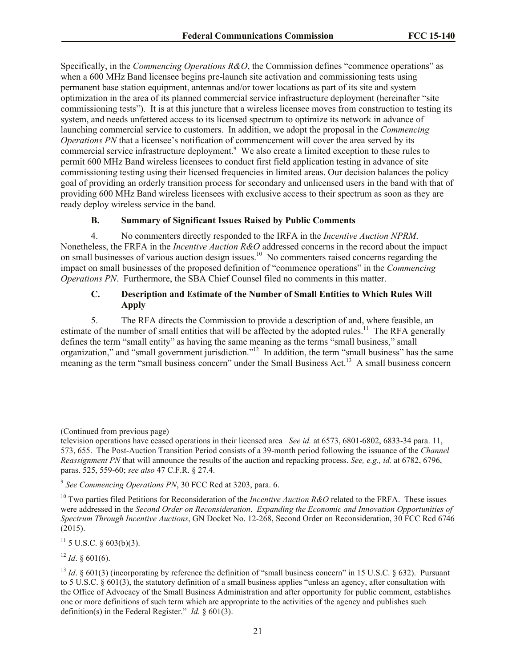Specifically, in the *Commencing Operations R&O*, the Commission defines "commence operations" as when a 600 MHz Band licensee begins pre-launch site activation and commissioning tests using permanent base station equipment, antennas and/or tower locations as part of its site and system optimization in the area of its planned commercial service infrastructure deployment (hereinafter "site commissioning tests"). It is at this juncture that a wireless licensee moves from construction to testing its system, and needs unfettered access to its licensed spectrum to optimize its network in advance of launching commercial service to customers. In addition, we adopt the proposal in the *Commencing Operations PN* that a licensee's notification of commencement will cover the area served by its commercial service infrastructure deployment.<sup>9</sup> We also create a limited exception to these rules to permit 600 MHz Band wireless licensees to conduct first field application testing in advance of site commissioning testing using their licensed frequencies in limited areas. Our decision balances the policy goal of providing an orderly transition process for secondary and unlicensed users in the band with that of providing 600 MHz Band wireless licensees with exclusive access to their spectrum as soon as they are ready deploy wireless service in the band.

#### **B. Summary of Significant Issues Raised by Public Comments**

4. No commenters directly responded to the IRFA in the *Incentive Auction NPRM*. Nonetheless, the FRFA in the *Incentive Auction R&O* addressed concerns in the record about the impact on small businesses of various auction design issues.<sup>10</sup> No commenters raised concerns regarding the impact on small businesses of the proposed definition of "commence operations" in the *Commencing Operations PN*. Furthermore, the SBA Chief Counsel filed no comments in this matter.

## **C. Description and Estimate of the Number of Small Entities to Which Rules Will Apply**

5. The RFA directs the Commission to provide a description of and, where feasible, an estimate of the number of small entities that will be affected by the adopted rules.<sup>11</sup> The RFA generally defines the term "small entity" as having the same meaning as the terms "small business," small organization," and "small government jurisdiction."<sup>12</sup> In addition, the term "small business" has the same meaning as the term "small business concern" under the Small Business Act.<sup>13</sup> A small business concern

 $11$  5 U.S.C. § 603(b)(3).

 $12$  *Id.* § 601(6).

<sup>(</sup>Continued from previous page)

television operations have ceased operations in their licensed area *See id.* at 6573, 6801-6802, 6833-34 para. 11, 573, 655. The Post-Auction Transition Period consists of a 39-month period following the issuance of the *Channel Reassignment PN* that will announce the results of the auction and repacking process. *See, e.g., id.* at 6782, 6796, paras. 525, 559-60; *see also* 47 C.F.R. § 27.4.

<sup>9</sup> *See Commencing Operations PN*, 30 FCC Rcd at 3203, para. 6.

<sup>&</sup>lt;sup>10</sup> Two parties filed Petitions for Reconsideration of the *Incentive Auction R&O* related to the FRFA. These issues were addressed in the *Second Order on Reconsideration*. *Expanding the Economic and Innovation Opportunities of Spectrum Through Incentive Auctions*, GN Docket No. 12-268, Second Order on Reconsideration, 30 FCC Rcd 6746 (2015).

<sup>&</sup>lt;sup>13</sup> *Id.* § 601(3) (incorporating by reference the definition of "small business concern" in 15 U.S.C. § 632). Pursuant to 5 U.S.C. § 601(3), the statutory definition of a small business applies "unless an agency, after consultation with the Office of Advocacy of the Small Business Administration and after opportunity for public comment, establishes one or more definitions of such term which are appropriate to the activities of the agency and publishes such definition(s) in the Federal Register." *Id.* § 601(3).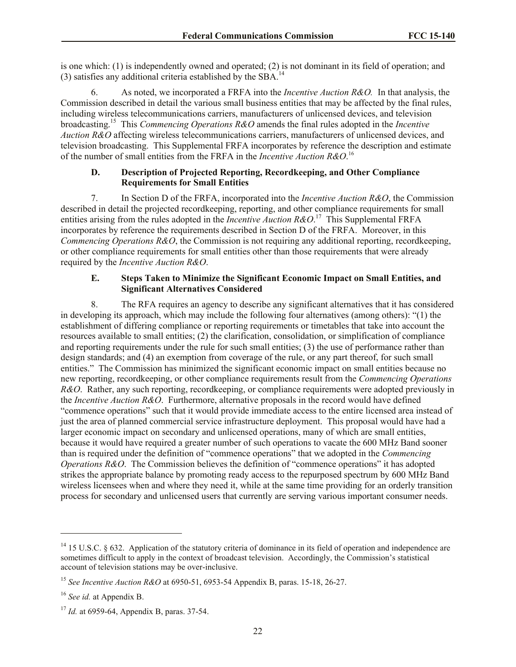is one which: (1) is independently owned and operated; (2) is not dominant in its field of operation; and (3) satisfies any additional criteria established by the  $SBA$ <sup>14</sup>

6. As noted, we incorporated a FRFA into the *Incentive Auction R&O.* In that analysis, the Commission described in detail the various small business entities that may be affected by the final rules, including wireless telecommunications carriers, manufacturers of unlicensed devices, and television broadcasting. 15 This *Commencing Operations R&O* amends the final rules adopted in the *Incentive Auction R&O* affecting wireless telecommunications carriers, manufacturers of unlicensed devices, and television broadcasting. This Supplemental FRFA incorporates by reference the description and estimate of the number of small entities from the FRFA in the *Incentive Auction R&O*. 16

# **D. Description of Projected Reporting, Recordkeeping, and Other Compliance Requirements for Small Entities**

7. In Section D of the FRFA, incorporated into the *Incentive Auction R&O*, the Commission described in detail the projected recordkeeping, reporting, and other compliance requirements for small entities arising from the rules adopted in the *Incentive Auction R&O*.<sup>17</sup> This Supplemental FRFA incorporates by reference the requirements described in Section D of the FRFA. Moreover, in this *Commencing Operations R&O*, the Commission is not requiring any additional reporting, recordkeeping, or other compliance requirements for small entities other than those requirements that were already required by the *Incentive Auction R&O*.

### **E. Steps Taken to Minimize the Significant Economic Impact on Small Entities, and Significant Alternatives Considered**

8. The RFA requires an agency to describe any significant alternatives that it has considered in developing its approach, which may include the following four alternatives (among others): "(1) the establishment of differing compliance or reporting requirements or timetables that take into account the resources available to small entities; (2) the clarification, consolidation, or simplification of compliance and reporting requirements under the rule for such small entities; (3) the use of performance rather than design standards; and (4) an exemption from coverage of the rule, or any part thereof, for such small entities." The Commission has minimized the significant economic impact on small entities because no new reporting, recordkeeping, or other compliance requirements result from the *Commencing Operations R&O*. Rather, any such reporting, recordkeeping, or compliance requirements were adopted previously in the *Incentive Auction R&O*. Furthermore, alternative proposals in the record would have defined "commence operations" such that it would provide immediate access to the entire licensed area instead of just the area of planned commercial service infrastructure deployment. This proposal would have had a larger economic impact on secondary and unlicensed operations, many of which are small entities, because it would have required a greater number of such operations to vacate the 600 MHz Band sooner than is required under the definition of "commence operations" that we adopted in the *Commencing Operations R&O*. The Commission believes the definition of "commence operations" it has adopted strikes the appropriate balance by promoting ready access to the repurposed spectrum by 600 MHz Band wireless licensees when and where they need it, while at the same time providing for an orderly transition process for secondary and unlicensed users that currently are serving various important consumer needs.

 $\overline{a}$ 

<sup>&</sup>lt;sup>14</sup> 15 U.S.C. § 632. Application of the statutory criteria of dominance in its field of operation and independence are sometimes difficult to apply in the context of broadcast television. Accordingly, the Commission's statistical account of television stations may be over-inclusive.

<sup>15</sup> *See Incentive Auction R&O* at 6950-51, 6953-54 Appendix B, paras. 15-18, 26-27.

<sup>16</sup> *See id.* at Appendix B.

<sup>17</sup> *Id.* at 6959-64, Appendix B, paras. 37-54.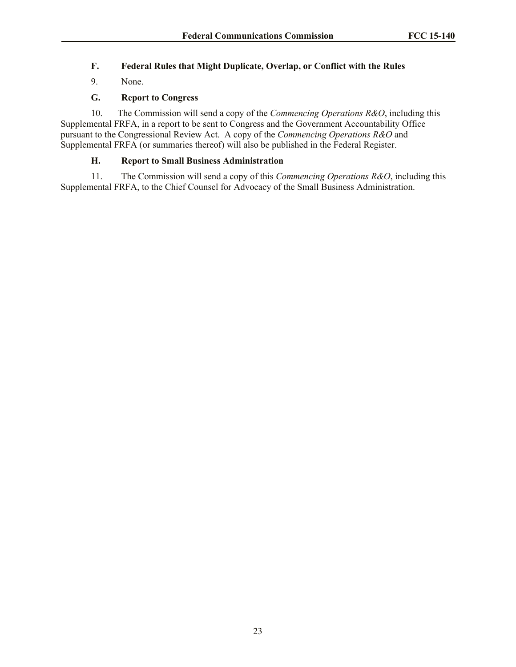# **F. Federal Rules that Might Duplicate, Overlap, or Conflict with the Rules**

9. None.

# **G. Report to Congress**

10. The Commission will send a copy of the *Commencing Operations R&O*, including this Supplemental FRFA, in a report to be sent to Congress and the Government Accountability Office pursuant to the Congressional Review Act. A copy of the *Commencing Operations R&O* and Supplemental FRFA (or summaries thereof) will also be published in the Federal Register.

# **H. Report to Small Business Administration**

11. The Commission will send a copy of this *Commencing Operations R&O*, including this Supplemental FRFA, to the Chief Counsel for Advocacy of the Small Business Administration.